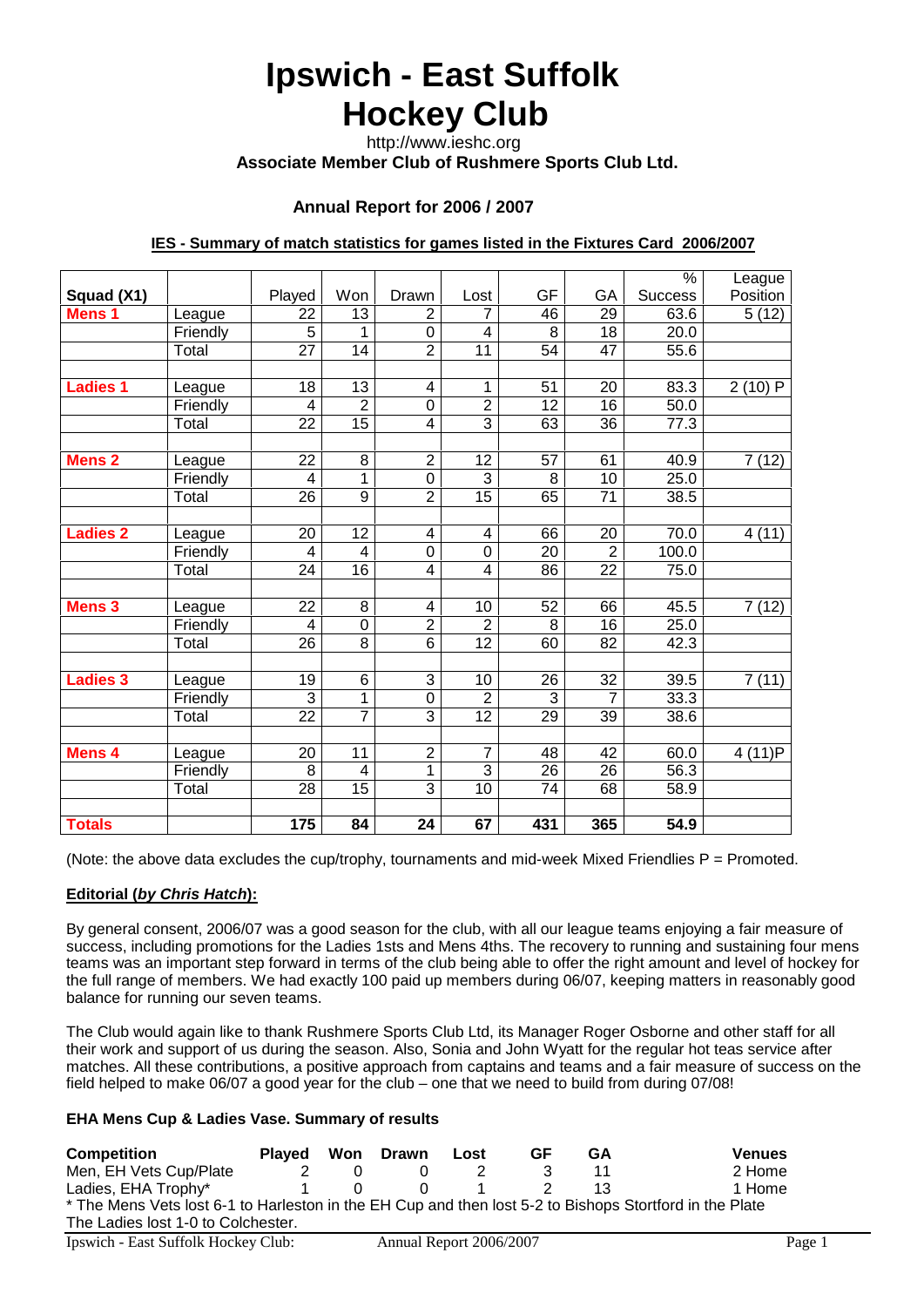# **Ipswich - East Suffolk Hockey Club**

 http://www.ieshc.org  **Associate Member Club of Rushmere Sports Club Ltd.**

# **Annual Report for 2006 / 2007**

#### **IES - Summary of match statistics for games listed in the Fixtures Card 2006/2007**

|                   |          |                 |                 |                         |                 |                 |                 | $\%$           | League   |
|-------------------|----------|-----------------|-----------------|-------------------------|-----------------|-----------------|-----------------|----------------|----------|
| Squad (X1)        |          | Played          | Won             | Drawn                   | Lost            | GF              | GА              | <b>Success</b> | Position |
| Mens <sub>1</sub> | League   | 22              | 13              | 2                       | 7               | 46              | 29              | 63.6           | 5(12)    |
|                   | Friendly | 5               | 1               | $\boldsymbol{0}$        | 4               | 8               | 18              | 20.0           |          |
|                   | Total    | 27              | 14              | $\overline{2}$          | 11              | 54              | 47              | 55.6           |          |
|                   |          |                 |                 |                         |                 |                 |                 |                |          |
| <b>Ladies 1</b>   | League   | 18              | 13              | $\overline{\mathbf{4}}$ | 1               | 51              | 20              | 83.3           | 2(10)P   |
|                   | Friendly | $\overline{4}$  | $\overline{2}$  | $\mathbf 0$             | $\overline{2}$  | $\overline{12}$ | 16              | 50.0           |          |
|                   | Total    | 22              | $\overline{15}$ | $\overline{\mathbf{4}}$ | $\overline{3}$  | 63              | 36              | 77.3           |          |
|                   |          |                 |                 |                         |                 |                 |                 |                |          |
| <b>Mens 2</b>     | League   | $\overline{22}$ | 8               | $\overline{2}$          | 12              | 57              | 61              | 40.9           | 7(12)    |
|                   | Friendly | $\overline{4}$  | 1               | $\mathbf 0$             | 3               | 8               | 10              | 25.0           |          |
|                   | Total    | 26              | 9               | $\overline{2}$          | 15              | 65              | 71              | 38.5           |          |
|                   |          |                 |                 |                         |                 |                 |                 |                |          |
| <b>Ladies 2</b>   | League   | 20              | 12              | $\overline{\mathbf{4}}$ | 4               | 66              | 20              | 70.0           | 4(11)    |
|                   | Friendly | $\overline{4}$  | 4               | $\mathbf 0$             | $\mathbf 0$     | 20              | $\overline{2}$  | 100.0          |          |
|                   | Total    | 24              | 16              | 4                       | 4               | 86              | 22              | 75.0           |          |
|                   |          |                 |                 |                         |                 |                 |                 |                |          |
| <b>Mens 3</b>     | League   | $\overline{22}$ | $\overline{8}$  | $\overline{\mathbf{4}}$ | 10              | 52              | 66              | 45.5           | 7(12)    |
|                   | Friendly | $\overline{4}$  | 0               | $\overline{2}$          | $\overline{2}$  | 8               | 16              | 25.0           |          |
|                   | Total    | $\overline{26}$ | $\overline{8}$  | $\overline{6}$          | $\overline{12}$ | 60              | 82              | 42.3           |          |
|                   |          |                 |                 |                         |                 |                 |                 |                |          |
| <b>Ladies 3</b>   | League   | 19              | 6               | 3                       | 10              | 26              | 32              | 39.5           | 7(11)    |
|                   | Friendly | 3               | 1               | $\boldsymbol{0}$        | $\overline{2}$  | 3               | 7               | 33.3           |          |
|                   | Total    | $\overline{22}$ | $\overline{7}$  | $\overline{3}$          | 12              | 29              | $\overline{39}$ | 38.6           |          |
|                   |          |                 |                 |                         |                 |                 |                 |                |          |
| <b>Mens 4</b>     | League   | 20              | 11              | $\mathbf 2$             | 7               | 48              | 42              | 60.0           | 4 (11)P  |
|                   | Friendly | $\overline{8}$  | 4               | 1                       | $\overline{3}$  | $\overline{26}$ | $\overline{26}$ | 56.3           |          |
|                   | Total    | 28              | 15              | 3                       | 10              | 74              | 68              | 58.9           |          |
|                   |          |                 |                 |                         |                 |                 |                 |                |          |
| <b>Totals</b>     |          | 175             | 84              | 24                      | 67              | 431             | 365             | 54.9           |          |

(Note: the above data excludes the cup/trophy, tournaments and mid-week Mixed Friendlies  $P = P$ romoted.

#### **Editorial (***by Chris Hatch***):**

By general consent, 2006/07 was a good season for the club, with all our league teams enjoying a fair measure of success, including promotions for the Ladies 1sts and Mens 4ths. The recovery to running and sustaining four mens teams was an important step forward in terms of the club being able to offer the right amount and level of hockey for the full range of members. We had exactly 100 paid up members during 06/07, keeping matters in reasonably good balance for running our seven teams.

The Club would again like to thank Rushmere Sports Club Ltd, its Manager Roger Osborne and other staff for all their work and support of us during the season. Also, Sonia and John Wyatt for the regular hot teas service after matches. All these contributions, a positive approach from captains and teams and a fair measure of success on the field helped to make 06/07 a good year for the club – one that we need to build from during 07/08!

#### **EHA Mens Cup & Ladies Vase. Summary of results**

| <b>Competition</b>                                                                                      | <b>Plaved</b> | Won Drawn               | Lost | GF | GA | <b>Venues</b> |
|---------------------------------------------------------------------------------------------------------|---------------|-------------------------|------|----|----|---------------|
| Men, EH Vets Cup/Plate                                                                                  |               |                         |      |    | 11 | 2 Home        |
| Ladies, EHA Trophy*                                                                                     |               |                         |      |    |    | 1 Home        |
| * The Mens Vets lost 6-1 to Harleston in the EH Cup and then lost 5-2 to Bishops Stortford in the Plate |               |                         |      |    |    |               |
| The Ladies lost 1-0 to Colchester.                                                                      |               |                         |      |    |    |               |
| Ipswich - East Suffolk Hockey Club:                                                                     |               | Annual Report 2006/2007 |      |    |    | Page 1        |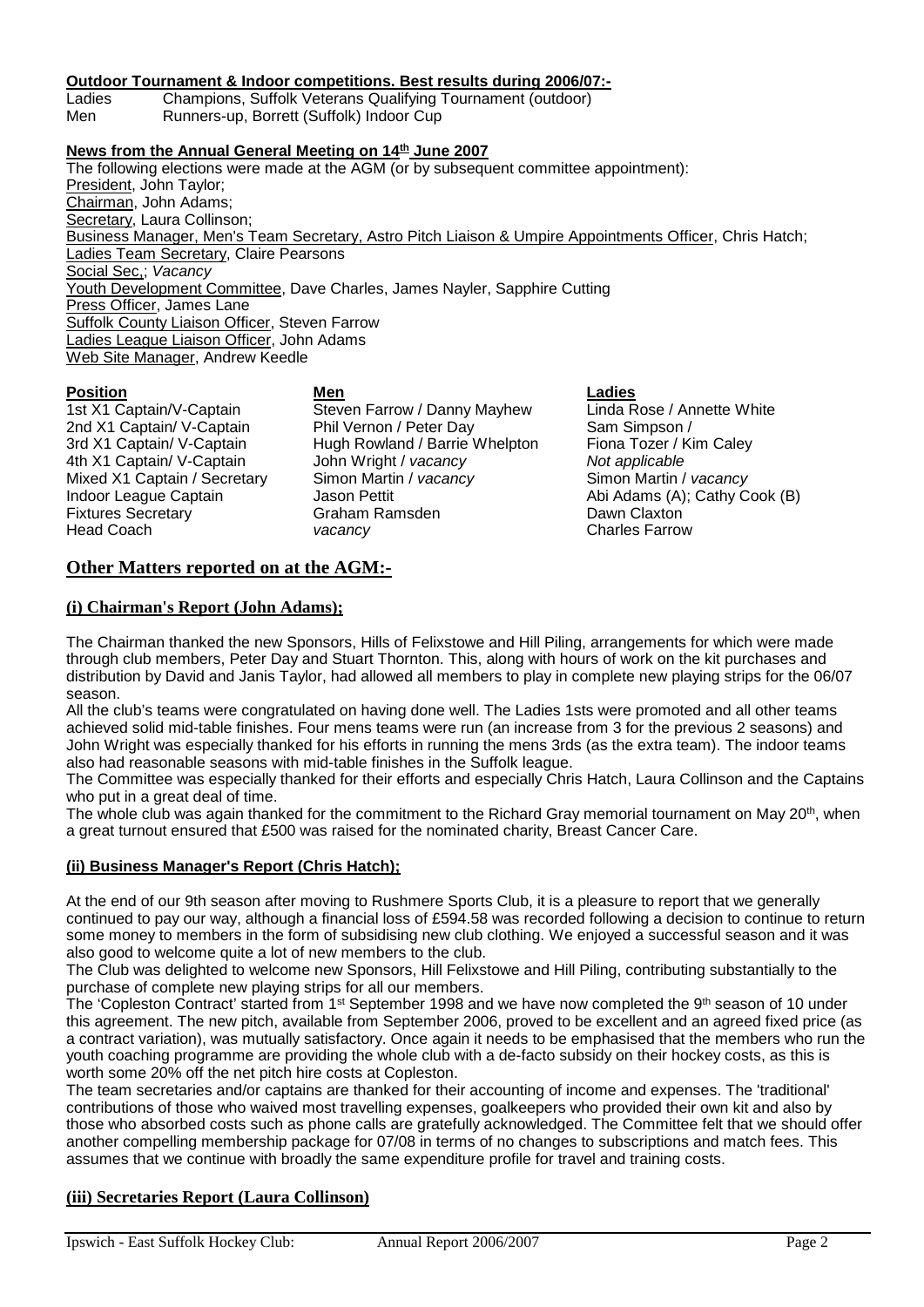#### **Outdoor Tournament & Indoor competitions. Best results during 2006/07:-**

Ladies Champions, Suffolk Veterans Qualifying Tournament (outdoor) Runners-up, Borrett (Suffolk) Indoor Cup

#### **News from the Annual General Meeting on 14th June 2007**

The following elections were made at the AGM (or by subsequent committee appointment): President, John Taylor; Chairman, John Adams; Secretary, Laura Collinson; Business Manager, Men's Team Secretary, Astro Pitch Liaison & Umpire Appointments Officer, Chris Hatch; Ladies Team Secretary, Claire Pearsons Social Sec,; *Vacancy* Youth Development Committee, Dave Charles, James Nayler, Sapphire Cutting Press Officer, James Lane Suffolk County Liaison Officer, Steven Farrow Ladies League Liaison Officer, John Adams Web Site Manager, Andrew Keedle

**Position Men Ladies** 1st X1 Captain/V-Captain Steven Farrow / Danny Mayhew Linda Rose / Annette White 2nd X1 Captain/ V-Captain Phil Vernon / Peter Day Sam Simpson / 3rd X1 Captain/ V-Captain Hugh Rowland / Barrie Whelpton Fiona Tozer / Kim Caley 4th X1 Captain/ V-Captain John Wright / *vacancy Not applicable* Mixed X1 Captain / Secretary Simon Martin / *vacancy* Simon Martin / *vacancy* Indoor League Captain **Jason Pettit** Abi Adams (A); Cathy Cook (B) Fixtures Secretary **Fixtures Secretary** Graham Ramsden **Claxton** Dawn Claxton<br>
Head Coach Coach Consult Day of Consults Charles Farrow vacancy vacancy **vacancy** Charles Farrow

# **Other Matters reported on at the AGM:-**

#### **(i) Chairman's Report (John Adams);**

The Chairman thanked the new Sponsors, Hills of Felixstowe and Hill Piling, arrangements for which were made through club members, Peter Day and Stuart Thornton. This, along with hours of work on the kit purchases and distribution by David and Janis Taylor, had allowed all members to play in complete new playing strips for the 06/07 season.

All the club's teams were congratulated on having done well. The Ladies 1sts were promoted and all other teams achieved solid mid-table finishes. Four mens teams were run (an increase from 3 for the previous 2 seasons) and John Wright was especially thanked for his efforts in running the mens 3rds (as the extra team). The indoor teams also had reasonable seasons with mid-table finishes in the Suffolk league.

The Committee was especially thanked for their efforts and especially Chris Hatch, Laura Collinson and the Captains who put in a great deal of time.

The whole club was again thanked for the commitment to the Richard Gray memorial tournament on May 20<sup>th</sup>, when a great turnout ensured that £500 was raised for the nominated charity, Breast Cancer Care.

#### **(ii) Business Manager's Report (Chris Hatch);**

At the end of our 9th season after moving to Rushmere Sports Club, it is a pleasure to report that we generally continued to pay our way, although a financial loss of £594.58 was recorded following a decision to continue to return some money to members in the form of subsidising new club clothing. We enjoyed a successful season and it was also good to welcome quite a lot of new members to the club.

The Club was delighted to welcome new Sponsors, Hill Felixstowe and Hill Piling, contributing substantially to the purchase of complete new playing strips for all our members.

The 'Copleston Contract' started from 1<sup>st</sup> September 1998 and we have now completed the 9<sup>th</sup> season of 10 under this agreement. The new pitch, available from September 2006, proved to be excellent and an agreed fixed price (as a contract variation), was mutually satisfactory. Once again it needs to be emphasised that the members who run the youth coaching programme are providing the whole club with a de-facto subsidy on their hockey costs, as this is worth some 20% off the net pitch hire costs at Copleston.

The team secretaries and/or captains are thanked for their accounting of income and expenses. The 'traditional' contributions of those who waived most travelling expenses, goalkeepers who provided their own kit and also by those who absorbed costs such as phone calls are gratefully acknowledged. The Committee felt that we should offer another compelling membership package for 07/08 in terms of no changes to subscriptions and match fees. This assumes that we continue with broadly the same expenditure profile for travel and training costs.

# **(iii) Secretaries Report (Laura Collinson)**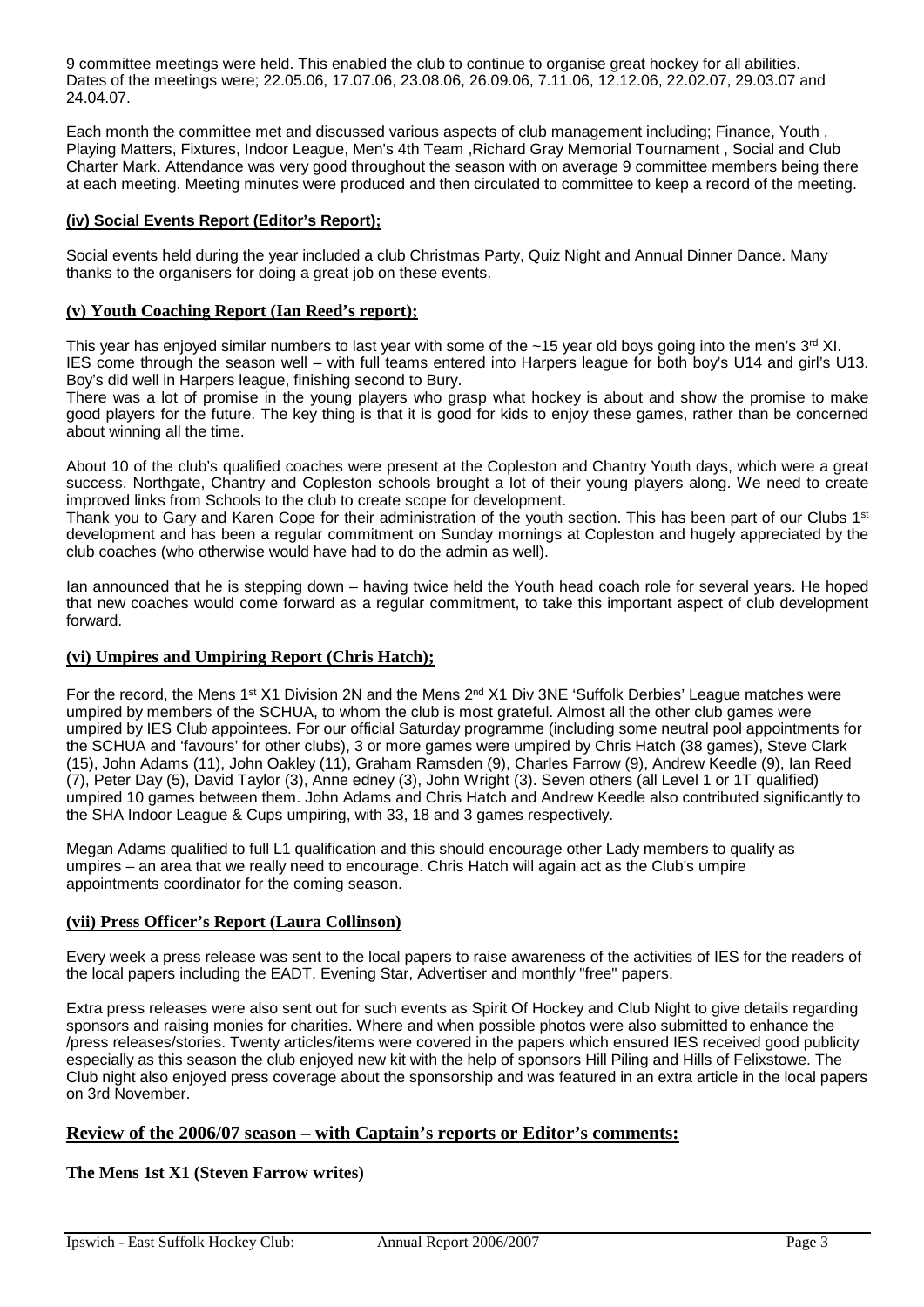9 committee meetings were held. This enabled the club to continue to organise great hockey for all abilities. Dates of the meetings were; 22.05.06, 17.07.06, 23.08.06, 26.09.06, 7.11.06, 12.12.06, 22.02.07, 29.03.07 and 24.04.07.

Each month the committee met and discussed various aspects of club management including; Finance, Youth , Playing Matters, Fixtures, Indoor League, Men's 4th Team ,Richard Gray Memorial Tournament , Social and Club Charter Mark. Attendance was very good throughout the season with on average 9 committee members being there at each meeting. Meeting minutes were produced and then circulated to committee to keep a record of the meeting.

#### **(iv) Social Events Report (Editor's Report);**

Social events held during the year included a club Christmas Party, Quiz Night and Annual Dinner Dance. Many thanks to the organisers for doing a great job on these events.

#### **(v) Youth Coaching Report (Ian Reed's report);**

This year has enjoyed similar numbers to last year with some of the  $~15$  year old boys going into the men's  $3<sup>rd</sup>$  XI. IES come through the season well – with full teams entered into Harpers league for both boy's U14 and girl's U13. Boy's did well in Harpers league, finishing second to Bury.

There was a lot of promise in the young players who grasp what hockey is about and show the promise to make good players for the future. The key thing is that it is good for kids to enjoy these games, rather than be concerned about winning all the time.

About 10 of the club's qualified coaches were present at the Copleston and Chantry Youth days, which were a great success. Northgate, Chantry and Copleston schools brought a lot of their young players along. We need to create improved links from Schools to the club to create scope for development.

Thank you to Gary and Karen Cope for their administration of the youth section. This has been part of our Clubs 1<sup>st</sup> development and has been a regular commitment on Sunday mornings at Copleston and hugely appreciated by the club coaches (who otherwise would have had to do the admin as well).

Ian announced that he is stepping down – having twice held the Youth head coach role for several years. He hoped that new coaches would come forward as a regular commitment, to take this important aspect of club development forward.

#### **(vi) Umpires and Umpiring Report (Chris Hatch);**

For the record, the Mens 1<sup>st</sup> X1 Division 2N and the Mens 2<sup>nd</sup> X1 Div 3NE 'Suffolk Derbies' League matches were umpired by members of the SCHUA, to whom the club is most grateful. Almost all the other club games were umpired by IES Club appointees. For our official Saturday programme (including some neutral pool appointments for the SCHUA and 'favours' for other clubs), 3 or more games were umpired by Chris Hatch (38 games), Steve Clark (15), John Adams (11), John Oakley (11), Graham Ramsden (9), Charles Farrow (9), Andrew Keedle (9), Ian Reed (7), Peter Day (5), David Taylor (3), Anne edney (3), John Wright (3). Seven others (all Level 1 or 1T qualified) umpired 10 games between them. John Adams and Chris Hatch and Andrew Keedle also contributed significantly to the SHA Indoor League & Cups umpiring, with 33, 18 and 3 games respectively.

Megan Adams qualified to full L1 qualification and this should encourage other Lady members to qualify as umpires – an area that we really need to encourage. Chris Hatch will again act as the Club's umpire appointments coordinator for the coming season.

#### **(vii) Press Officer's Report (Laura Collinson)**

Every week a press release was sent to the local papers to raise awareness of the activities of IES for the readers of the local papers including the EADT, Evening Star, Advertiser and monthly "free" papers.

Extra press releases were also sent out for such events as Spirit Of Hockey and Club Night to give details regarding sponsors and raising monies for charities. Where and when possible photos were also submitted to enhance the /press releases/stories. Twenty articles/items were covered in the papers which ensured IES received good publicity especially as this season the club enjoyed new kit with the help of sponsors Hill Piling and Hills of Felixstowe. The Club night also enjoyed press coverage about the sponsorship and was featured in an extra article in the local papers on 3rd November.

#### **Review of the 2006/07 season – with Captain's reports or Editor's comments:**

#### **The Mens 1st X1 (Steven Farrow writes)**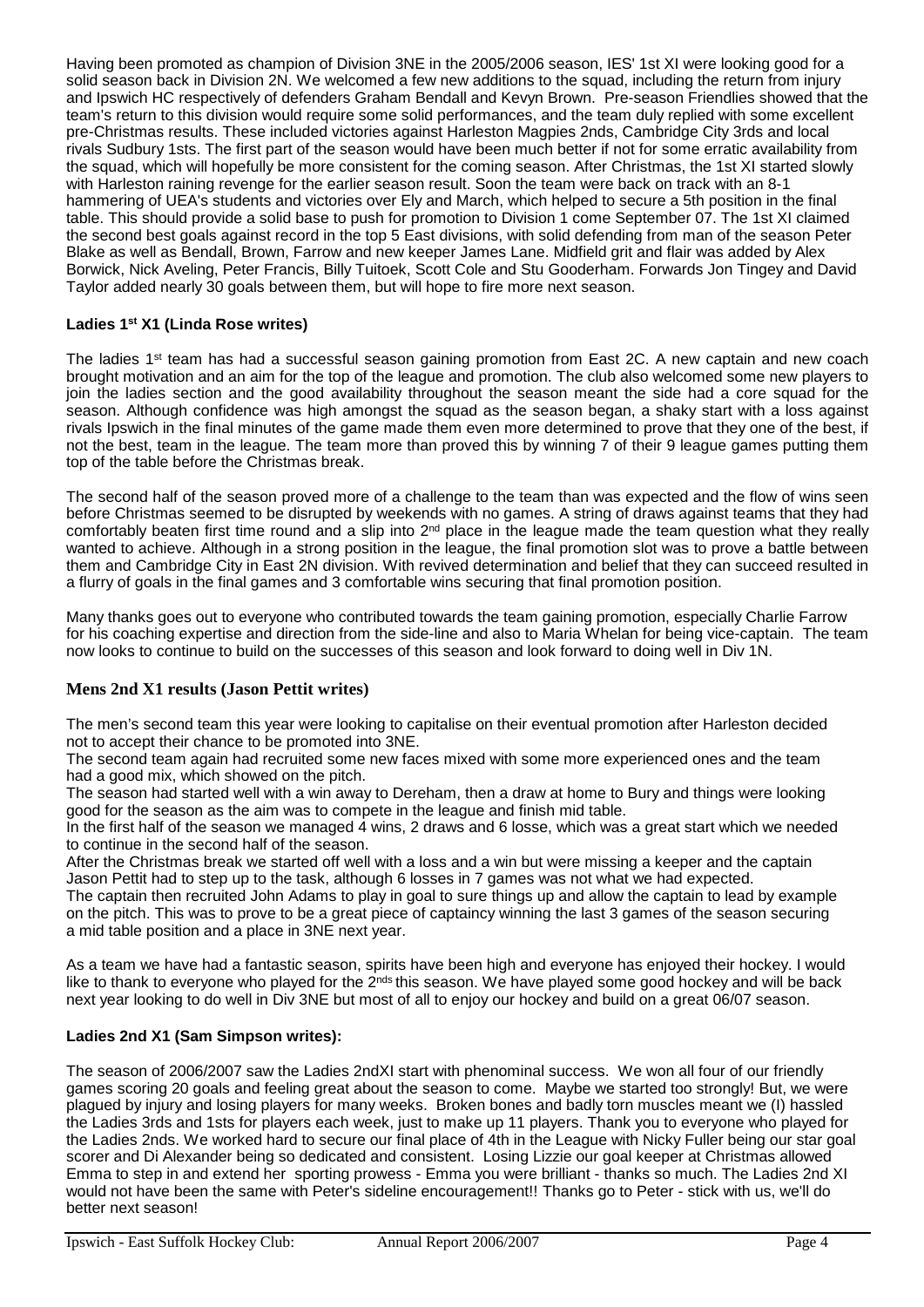Having been promoted as champion of Division 3NE in the 2005/2006 season, IES' 1st XI were looking good for a solid season back in Division 2N. We welcomed a few new additions to the squad, including the return from injury and Ipswich HC respectively of defenders Graham Bendall and Kevyn Brown. Pre-season Friendlies showed that the team's return to this division would require some solid performances, and the team duly replied with some excellent pre-Christmas results. These included victories against Harleston Magpies 2nds, Cambridge City 3rds and local rivals Sudbury 1sts. The first part of the season would have been much better if not for some erratic availability from the squad, which will hopefully be more consistent for the coming season. After Christmas, the 1st XI started slowly with Harleston raining revenge for the earlier season result. Soon the team were back on track with an 8-1 hammering of UEA's students and victories over Ely and March, which helped to secure a 5th position in the final table. This should provide a solid base to push for promotion to Division 1 come September 07. The 1st XI claimed the second best goals against record in the top 5 East divisions, with solid defending from man of the season Peter Blake as well as Bendall, Brown, Farrow and new keeper James Lane. Midfield grit and flair was added by Alex Borwick, Nick Aveling, Peter Francis, Billy Tuitoek, Scott Cole and Stu Gooderham. Forwards Jon Tingey and David Taylor added nearly 30 goals between them, but will hope to fire more next season.

### **Ladies 1st X1 (Linda Rose writes)**

The ladies 1<sup>st</sup> team has had a successful season gaining promotion from East 2C. A new captain and new coach brought motivation and an aim for the top of the league and promotion. The club also welcomed some new players to join the ladies section and the good availability throughout the season meant the side had a core squad for the season. Although confidence was high amongst the squad as the season began, a shaky start with a loss against rivals Ipswich in the final minutes of the game made them even more determined to prove that they one of the best, if not the best, team in the league. The team more than proved this by winning 7 of their 9 league games putting them top of the table before the Christmas break.

The second half of the season proved more of a challenge to the team than was expected and the flow of wins seen before Christmas seemed to be disrupted by weekends with no games. A string of draws against teams that they had comfortably beaten first time round and a slip into  $2<sup>nd</sup>$  place in the league made the team question what they really wanted to achieve. Although in a strong position in the league, the final promotion slot was to prove a battle between them and Cambridge City in East 2N division. With revived determination and belief that they can succeed resulted in a flurry of goals in the final games and 3 comfortable wins securing that final promotion position.

Many thanks goes out to everyone who contributed towards the team gaining promotion, especially Charlie Farrow for his coaching expertise and direction from the side-line and also to Maria Whelan for being vice-captain. The team now looks to continue to build on the successes of this season and look forward to doing well in Div 1N.

# **Mens 2nd X1 results (Jason Pettit writes)**

The men's second team this year were looking to capitalise on their eventual promotion after Harleston decided not to accept their chance to be promoted into 3NE.

The second team again had recruited some new faces mixed with some more experienced ones and the team had a good mix, which showed on the pitch.

The season had started well with a win away to Dereham, then a draw at home to Bury and things were looking good for the season as the aim was to compete in the league and finish mid table.

In the first half of the season we managed 4 wins, 2 draws and 6 losse, which was a great start which we needed to continue in the second half of the season.

After the Christmas break we started off well with a loss and a win but were missing a keeper and the captain Jason Pettit had to step up to the task, although 6 losses in 7 games was not what we had expected.

The captain then recruited John Adams to play in goal to sure things up and allow the captain to lead by example on the pitch. This was to prove to be a great piece of captaincy winning the last 3 games of the season securing a mid table position and a place in 3NE next year.

As a team we have had a fantastic season, spirits have been high and everyone has enjoyed their hockey. I would like to thank to everyone who played for the 2<sup>nds</sup> this season. We have played some good hockey and will be back next year looking to do well in Div 3NE but most of all to enjoy our hockey and build on a great 06/07 season.

#### **Ladies 2nd X1 (Sam Simpson writes):**

The season of 2006/2007 saw the Ladies 2ndXI start with phenominal success. We won all four of our friendly games scoring 20 goals and feeling great about the season to come. Maybe we started too strongly! But, we were plagued by injury and losing players for many weeks. Broken bones and badly torn muscles meant we (I) hassled the Ladies 3rds and 1sts for players each week, just to make up 11 players. Thank you to everyone who played for the Ladies 2nds. We worked hard to secure our final place of 4th in the League with Nicky Fuller being our star goal scorer and Di Alexander being so dedicated and consistent. Losing Lizzie our goal keeper at Christmas allowed Emma to step in and extend her sporting prowess - Emma you were brilliant - thanks so much. The Ladies 2nd XI would not have been the same with Peter's sideline encouragement!! Thanks go to Peter - stick with us, we'll do better next season!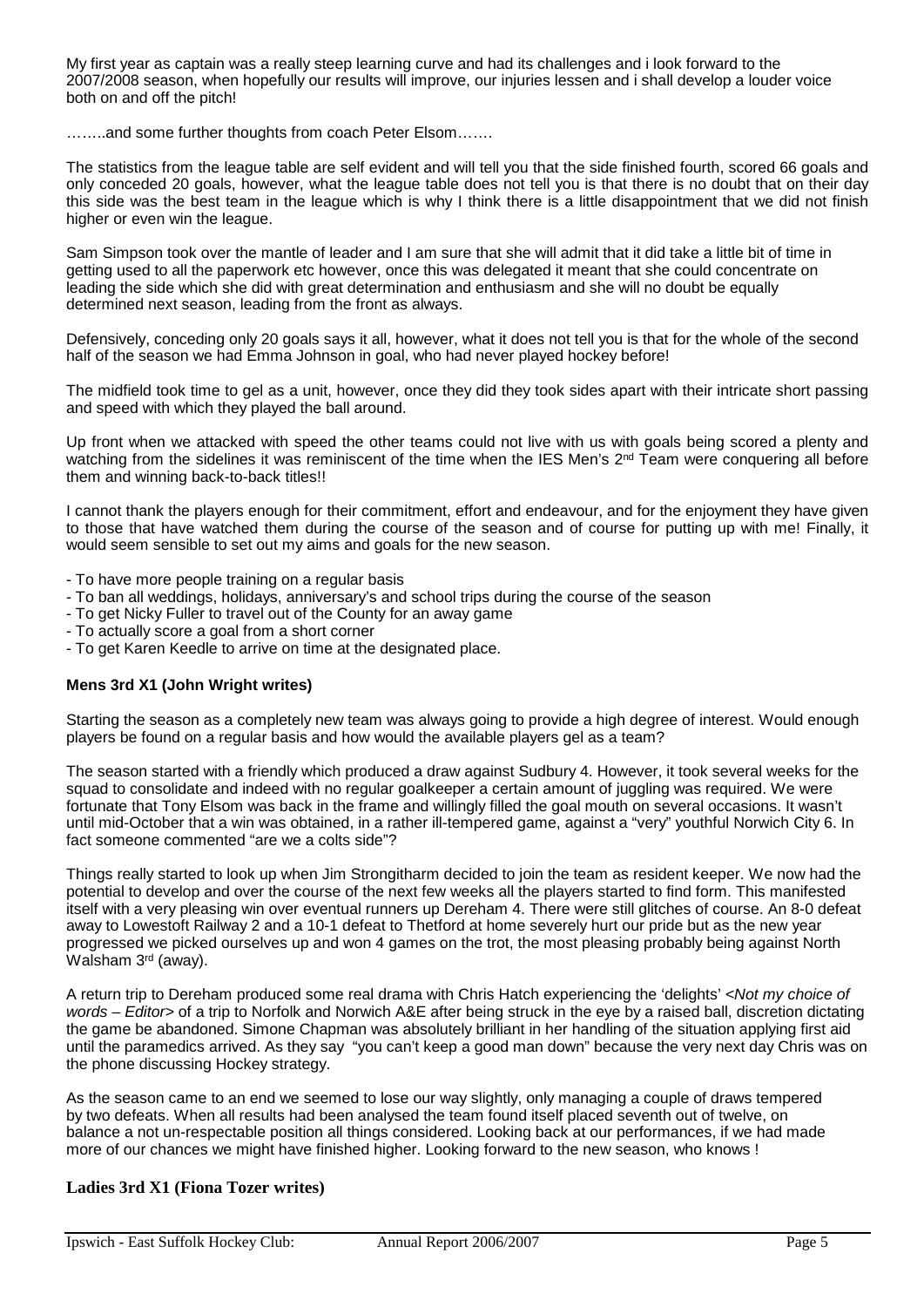My first year as captain was a really steep learning curve and had its challenges and i look forward to the 2007/2008 season, when hopefully our results will improve, our injuries lessen and i shall develop a louder voice both on and off the pitch!

……..and some further thoughts from coach Peter Elsom…….

The statistics from the league table are self evident and will tell you that the side finished fourth, scored 66 goals and only conceded 20 goals, however, what the league table does not tell you is that there is no doubt that on their day this side was the best team in the league which is why I think there is a little disappointment that we did not finish higher or even win the league.

Sam Simpson took over the mantle of leader and I am sure that she will admit that it did take a little bit of time in getting used to all the paperwork etc however, once this was delegated it meant that she could concentrate on leading the side which she did with great determination and enthusiasm and she will no doubt be equally determined next season, leading from the front as always.

Defensively, conceding only 20 goals says it all, however, what it does not tell you is that for the whole of the second half of the season we had Emma Johnson in goal, who had never played hockey before!

The midfield took time to gel as a unit, however, once they did they took sides apart with their intricate short passing and speed with which they played the ball around.

Up front when we attacked with speed the other teams could not live with us with goals being scored a plenty and watching from the sidelines it was reminiscent of the time when the IES Men's  $2<sup>nd</sup>$  Team were conquering all before them and winning back-to-back titles!!

I cannot thank the players enough for their commitment, effort and endeavour, and for the enjoyment they have given to those that have watched them during the course of the season and of course for putting up with me! Finally, it would seem sensible to set out my aims and goals for the new season.

- To have more people training on a regular basis
- To ban all weddings, holidays, anniversary's and school trips during the course of the season
- To get Nicky Fuller to travel out of the County for an away game
- To actually score a goal from a short corner
- To get Karen Keedle to arrive on time at the designated place.

#### **Mens 3rd X1 (John Wright writes)**

Starting the season as a completely new team was always going to provide a high degree of interest. Would enough players be found on a regular basis and how would the available players gel as a team?

The season started with a friendly which produced a draw against Sudbury 4. However, it took several weeks for the squad to consolidate and indeed with no regular goalkeeper a certain amount of juggling was required. We were fortunate that Tony Elsom was back in the frame and willingly filled the goal mouth on several occasions. It wasn't until mid-October that a win was obtained, in a rather ill-tempered game, against a "very" youthful Norwich City 6. In fact someone commented "are we a colts side"?

Things really started to look up when Jim Strongitharm decided to join the team as resident keeper. We now had the potential to develop and over the course of the next few weeks all the players started to find form. This manifested itself with a very pleasing win over eventual runners up Dereham 4. There were still glitches of course. An 8-0 defeat away to Lowestoft Railway 2 and a 10-1 defeat to Thetford at home severely hurt our pride but as the new year progressed we picked ourselves up and won 4 games on the trot, the most pleasing probably being against North Walsham 3rd (away).

A return trip to Dereham produced some real drama with Chris Hatch experiencing the 'delights' *<Not my choice of words – Editor>* of a trip to Norfolk and Norwich A&E after being struck in the eye by a raised ball, discretion dictating the game be abandoned. Simone Chapman was absolutely brilliant in her handling of the situation applying first aid until the paramedics arrived. As they say "you can't keep a good man down" because the very next day Chris was on the phone discussing Hockey strategy.

As the season came to an end we seemed to lose our way slightly, only managing a couple of draws tempered by two defeats. When all results had been analysed the team found itself placed seventh out of twelve, on balance a not un-respectable position all things considered. Looking back at our performances, if we had made more of our chances we might have finished higher. Looking forward to the new season, who knows !

#### **Ladies 3rd X1 (Fiona Tozer writes)**